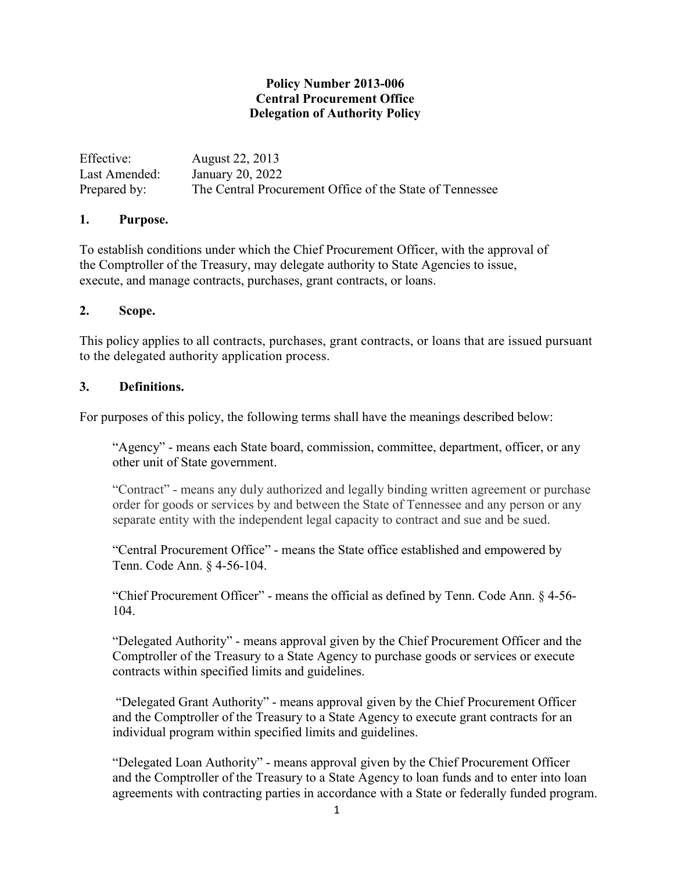# **Policy Number 2013-006 Central Procurement Office Delegation of Authority Policy**

| Effective:    | August 22, 2013                                          |
|---------------|----------------------------------------------------------|
| Last Amended: | January 20, 2022                                         |
| Prepared by:  | The Central Procurement Office of the State of Tennessee |

#### **1. Purpose.**

To establish conditions under which the Chief Procurement Officer, with the approval of the Comptroller of the Treasury, may delegate authority to State Agencies to issue, execute, and manage contracts, purchases, grant contracts, or loans.

## **2. Scope.**

This policy applies to all contracts, purchases, grant contracts, or loans that are issued pursuant to the delegated authority application process.

## **3. Definitions.**

For purposes of this policy, the following terms shall have the meanings described below:

"Agency" - means each State board, commission, committee, department, officer, or any other unit of State government.

"Contract" - means any duly authorized and legally binding written agreement or purchase order for goods or services by and between the State of Tennessee and any person or any separate entity with the independent legal capacity to contract and sue and be sued.

"Central Procurement Office" - means the State office established and empowered by Tenn. Code Ann. § 4-56-104.

"Chief Procurement Officer" - means the official as defined by Tenn. Code Ann. § 4-56- 104.

"Delegated Authority" - means approval given by the Chief Procurement Officer and the Comptroller of the Treasury to a State Agency to purchase goods or services or execute contracts within specified limits and guidelines.

"Delegated Grant Authority" - means approval given by the Chief Procurement Officer and the Comptroller of the Treasury to a State Agency to execute grant contracts for an individual program within specified limits and guidelines.

"Delegated Loan Authority" - means approval given by the Chief Procurement Officer and the Comptroller of the Treasury to a State Agency to loan funds and to enter into loan agreements with contracting parties in accordance with a State or federally funded program.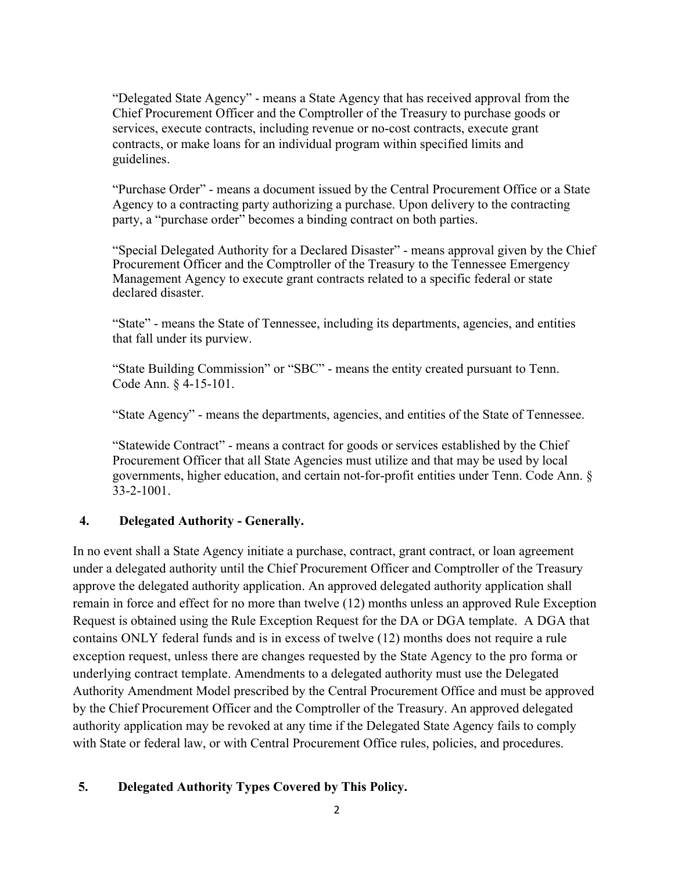"Delegated State Agency" - means a State Agency that has received approval from the Chief Procurement Officer and the Comptroller of the Treasury to purchase goods or services, execute contracts, including revenue or no-cost contracts, execute grant contracts, or make loans for an individual program within specified limits and guidelines.

"Purchase Order" - means a document issued by the Central Procurement Office or a State Agency to a contracting party authorizing a purchase. Upon delivery to the contracting party, a "purchase order" becomes a binding contract on both parties.

 "Special Delegated Authority for a Declared Disaster" - means approval given by the Chief Procurement Officer and the Comptroller of the Treasury to the Tennessee Emergency Management Agency to execute grant contracts related to a specific federal or state declared disaster.

"State" - means the State of Tennessee, including its departments, agencies, and entities that fall under its purview.

"State Building Commission" or "SBC" - means the entity created pursuant to Tenn. Code Ann. § 4-15-101.

"State Agency" - means the departments, agencies, and entities of the State of Tennessee.

"Statewide Contract" - means a contract for goods or services established by the Chief Procurement Officer that all State Agencies must utilize and that may be used by local governments, higher education, and certain not-for-profit entities under Tenn. Code Ann. § 33-2-1001.

# **4. Delegated Authority - Generally.**

In no event shall a State Agency initiate a purchase, contract, grant contract, or loan agreement under a delegated authority until the Chief Procurement Officer and Comptroller of the Treasury approve the delegated authority application. An approved delegated authority application shall remain in force and effect for no more than twelve (12) months unless an approved Rule Exception Request is obtained using the Rule Exception Request for the DA or DGA template. A DGA that contains ONLY federal funds and is in excess of twelve (12) months does not require a rule exception request, unless there are changes requested by the State Agency to the pro forma or underlying contract template. Amendments to a delegated authority must use the Delegated Authority Amendment Model prescribed by the Central Procurement Office and must be approved by the Chief Procurement Officer and the Comptroller of the Treasury. An approved delegated authority application may be revoked at any time if the Delegated State Agency fails to comply with State or federal law, or with Central Procurement Office rules, policies, and procedures.

# **5. Delegated Authority Types Covered by This Policy.**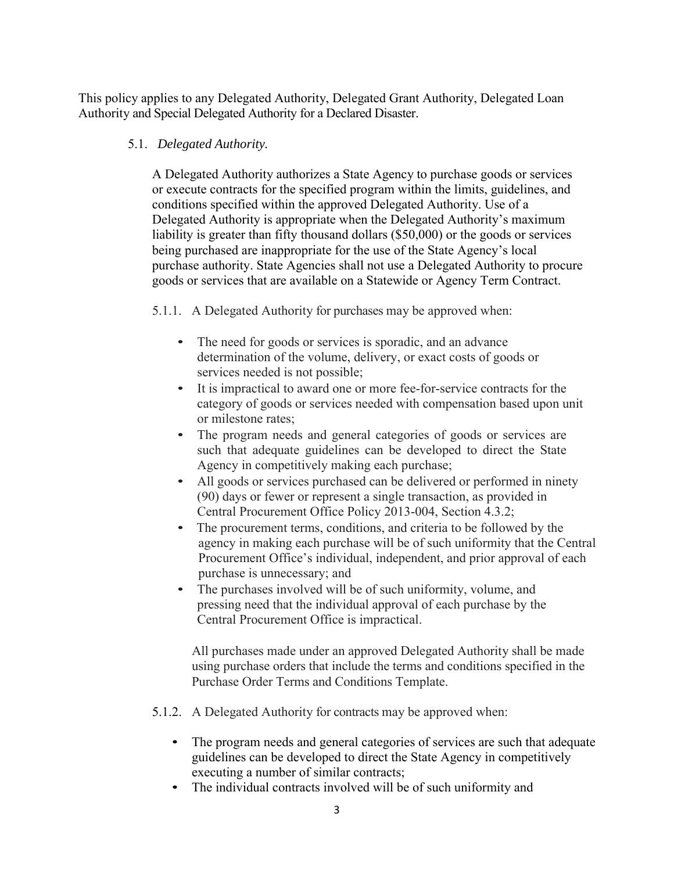This policy applies to any Delegated Authority, Delegated Grant Authority, Delegated Loan Authority and Special Delegated Authority for a Declared Disaster.

# 5.1. *Delegated Authority.*

 A Delegated Authority authorizes a State Agency to purchase goods or services or execute contracts for the specified program within the limits, guidelines, and conditions specified within the approved Delegated Authority. Use of a Delegated Authority is appropriate when the Delegated Authority's maximum liability is greater than fifty thousand dollars (\$50,000) or the goods or services being purchased are inappropriate for the use of the State Agency's local purchase authority. State Agencies shall not use a Delegated Authority to procure goods or services that are available on a Statewide or Agency Term Contract.

5.1.1. A Delegated Authority for purchases may be approved when:

- The need for goods or services is sporadic, and an advance determination of the volume, delivery, or exact costs of goods or services needed is not possible;
- It is impractical to award one or more fee-for-service contracts for the category of goods or services needed with compensation based upon unit or milestone rates;
- The program needs and general categories of goods or services are such that adequate guidelines can be developed to direct the State Agency in competitively making each purchase;
- All goods or services purchased can be delivered or performed in ninety (90) days or fewer or represent a single transaction, as provided in Central Procurement Office Policy 2013-004, Section 4.3.2;
- The procurement terms, conditions, and criteria to be followed by the agency in making each purchase will be of such uniformity that the Central Procurement Office's individual, independent, and prior approval of each purchase is unnecessary; and
- The purchases involved will be of such uniformity, volume, and pressing need that the individual approval of each purchase by the Central Procurement Office is impractical.

 All purchases made under an approved Delegated Authority shall be made using purchase orders that include the terms and conditions specified in the Purchase Order Terms and Conditions Template.

- 5.1.2. A Delegated Authority for contracts may be approved when:
	- The program needs and general categories of services are such that adequate guidelines can be developed to direct the State Agency in competitively executing a number of similar contracts;
	- The individual contracts involved will be of such uniformity and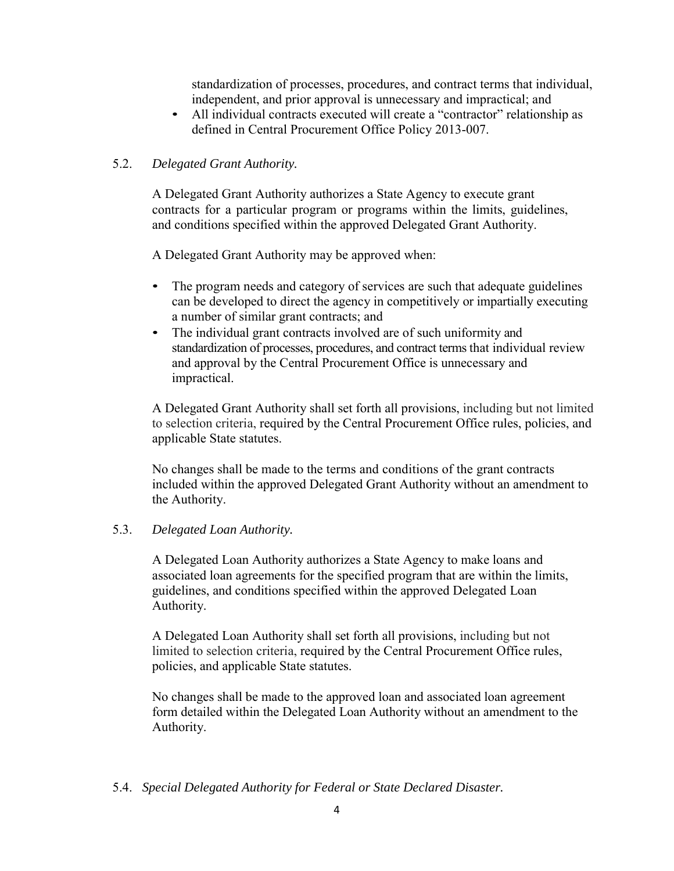standardization of processes, procedures, and contract terms that individual, independent, and prior approval is unnecessary and impractical; and

• All individual contracts executed will create a "contractor" relationship as defined in Central Procurement Office Policy 2013-007.

## 5.2. *Delegated Grant Authority.*

 A Delegated Grant Authority authorizes a State Agency to execute grant contracts for a particular program or programs within the limits, guidelines, and conditions specified within the approved Delegated Grant Authority.

A Delegated Grant Authority may be approved when:

- The program needs and category of services are such that adequate guidelines can be developed to direct the agency in competitively or impartially executing a number of similar grant contracts; and
- The individual grant contracts involved are of such uniformity and standardization of processes, procedures, and contract terms that individual review and approval by the Central Procurement Office is unnecessary and impractical.

 A Delegated Grant Authority shall set forth all provisions, including but not limited to selection criteria, required by the Central Procurement Office rules, policies, and applicable State statutes.

 No changes shall be made to the terms and conditions of the grant contracts included within the approved Delegated Grant Authority without an amendment to the Authority.

## 5.3. *Delegated Loan Authority.*

 A Delegated Loan Authority authorizes a State Agency to make loans and associated loan agreements for the specified program that are within the limits, guidelines, and conditions specified within the approved Delegated Loan Authority.

 A Delegated Loan Authority shall set forth all provisions, including but not limited to selection criteria, required by the Central Procurement Office rules, policies, and applicable State statutes.

 No changes shall be made to the approved loan and associated loan agreement form detailed within the Delegated Loan Authority without an amendment to the Authority.

## 5.4. *Special Delegated Authority for Federal or State Declared Disaster.*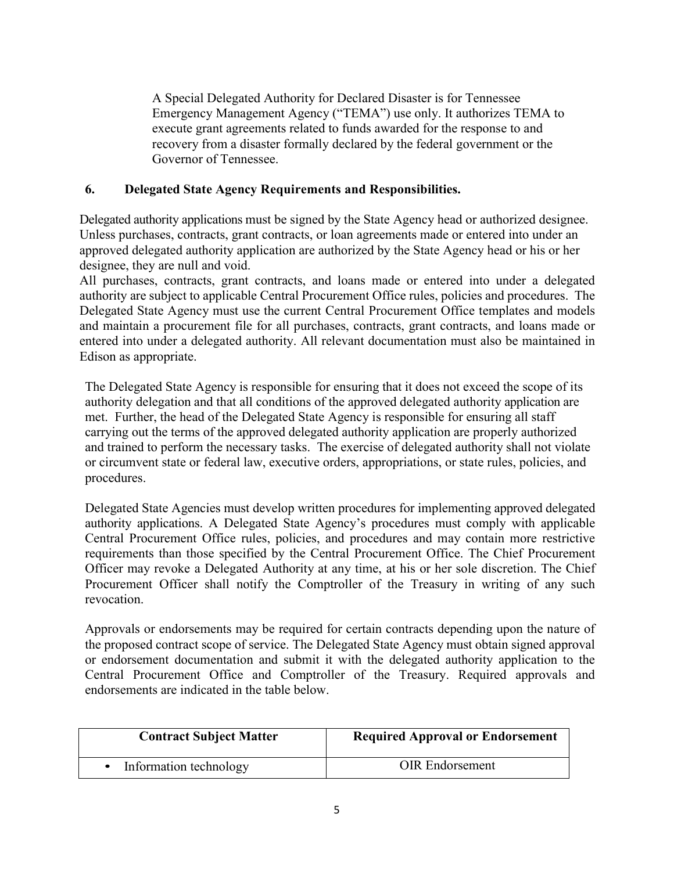A Special Delegated Authority for Declared Disaster is for Tennessee Emergency Management Agency ("TEMA") use only. It authorizes TEMA to execute grant agreements related to funds awarded for the response to and recovery from a disaster formally declared by the federal government or the Governor of Tennessee.

# **6. Delegated State Agency Requirements and Responsibilities.**

Delegated authority applications must be signed by the State Agency head or authorized designee. Unless purchases, contracts, grant contracts, or loan agreements made or entered into under an approved delegated authority application are authorized by the State Agency head or his or her designee, they are null and void.

All purchases, contracts, grant contracts, and loans made or entered into under a delegated authority are subject to applicable Central Procurement Office rules, policies and procedures. The Delegated State Agency must use the current Central Procurement Office templates and models and maintain a procurement file for all purchases, contracts, grant contracts, and loans made or entered into under a delegated authority. All relevant documentation must also be maintained in Edison as appropriate.

The Delegated State Agency is responsible for ensuring that it does not exceed the scope of its authority delegation and that all conditions of the approved delegated authority application are met. Further, the head of the Delegated State Agency is responsible for ensuring all staff carrying out the terms of the approved delegated authority application are properly authorized and trained to perform the necessary tasks. The exercise of delegated authority shall not violate or circumvent state or federal law, executive orders, appropriations, or state rules, policies, and procedures.

Delegated State Agencies must develop written procedures for implementing approved delegated authority applications. A Delegated State Agency's procedures must comply with applicable Central Procurement Office rules, policies, and procedures and may contain more restrictive requirements than those specified by the Central Procurement Office. The Chief Procurement Officer may revoke a Delegated Authority at any time, at his or her sole discretion. The Chief Procurement Officer shall notify the Comptroller of the Treasury in writing of any such revocation.

Approvals or endorsements may be required for certain contracts depending upon the nature of the proposed contract scope of service. The Delegated State Agency must obtain signed approval or endorsement documentation and submit it with the delegated authority application to the Central Procurement Office and Comptroller of the Treasury. Required approvals and endorsements are indicated in the table below.

| <b>Contract Subject Matter</b> | <b>Required Approval or Endorsement</b> |
|--------------------------------|-----------------------------------------|
| Information technology         | <b>OIR</b> Endorsement                  |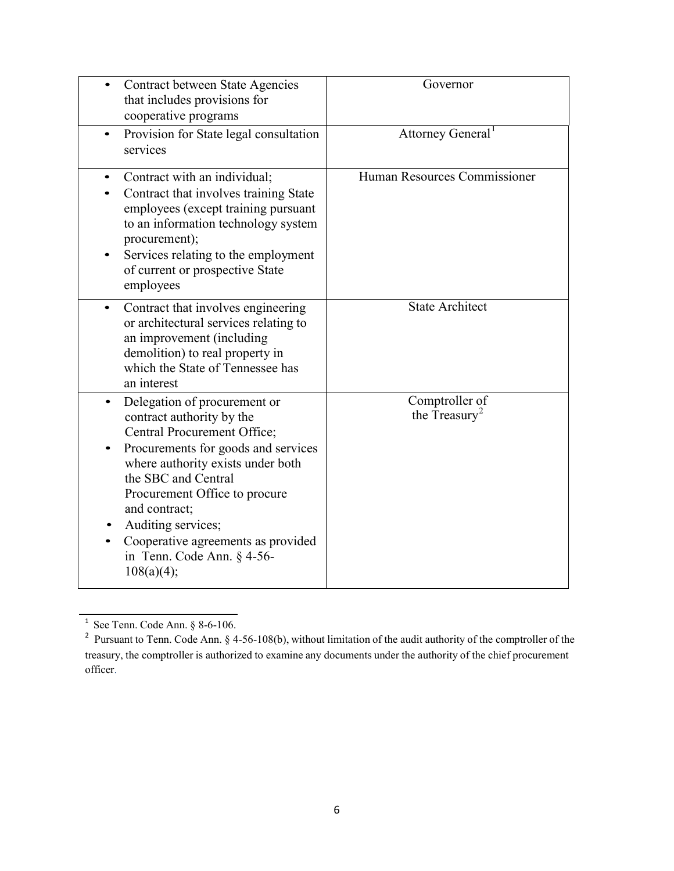| Contract between State Agencies<br>that includes provisions for<br>cooperative programs                                                                                                                                                                                                                                                                            | Governor                                    |
|--------------------------------------------------------------------------------------------------------------------------------------------------------------------------------------------------------------------------------------------------------------------------------------------------------------------------------------------------------------------|---------------------------------------------|
| Provision for State legal consultation<br>$\bullet$<br>services                                                                                                                                                                                                                                                                                                    | Attorney General <sup>1</sup>               |
| Contract with an individual;<br>Contract that involves training State<br>employees (except training pursuant<br>to an information technology system<br>procurement);<br>Services relating to the employment<br>of current or prospective State<br>employees                                                                                                        | Human Resources Commissioner                |
| Contract that involves engineering<br>$\bullet$<br>or architectural services relating to<br>an improvement (including<br>demolition) to real property in<br>which the State of Tennessee has<br>an interest                                                                                                                                                        | <b>State Architect</b>                      |
| Delegation of procurement or<br>$\bullet$<br>contract authority by the<br>Central Procurement Office;<br>Procurements for goods and services<br>where authority exists under both<br>the SBC and Central<br>Procurement Office to procure<br>and contract;<br>Auditing services;<br>Cooperative agreements as provided<br>in Tenn. Code Ann. § 4-56-<br>108(a)(4); | Comptroller of<br>the Treasury <sup>2</sup> |

 $1$  See Tenn. Code Ann. § 8-6-106.

<sup>&</sup>lt;sup>2</sup> Pursuant to Tenn. Code Ann. § 4-56-108(b), without limitation of the audit authority of the comptroller of the treasury, the comptroller is authorized to examine any documents under the authority of the chief procurement officer.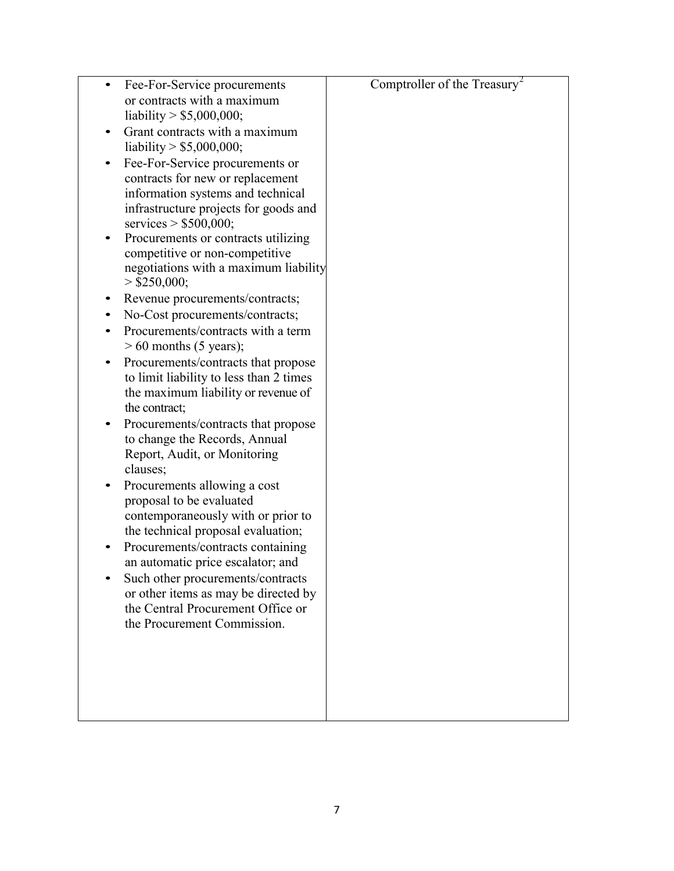| Fee-For-Service procurements<br>٠                                        | Comptroller of the Treasury <sup>2</sup> |
|--------------------------------------------------------------------------|------------------------------------------|
| or contracts with a maximum                                              |                                          |
| liability > $$5,000,000;$<br>Grant contracts with a maximum<br>$\bullet$ |                                          |
| liability $>$ \$5,000,000;                                               |                                          |
| Fee-For-Service procurements or<br>$\bullet$                             |                                          |
| contracts for new or replacement                                         |                                          |
| information systems and technical                                        |                                          |
| infrastructure projects for goods and                                    |                                          |
| services $> $500,000;$<br>Procurements or contracts utilizing<br>٠       |                                          |
| competitive or non-competitive                                           |                                          |
| negotiations with a maximum liability                                    |                                          |
| $>$ \$250,000;                                                           |                                          |
| Revenue procurements/contracts;<br>٠                                     |                                          |
| No-Cost procurements/contracts;<br>$\bullet$                             |                                          |
| Procurements/contracts with a term<br>$> 60$ months (5 years);           |                                          |
| Procurements/contracts that propose<br>$\bullet$                         |                                          |
| to limit liability to less than 2 times                                  |                                          |
| the maximum liability or revenue of                                      |                                          |
| the contract;<br>Procurements/contracts that propose<br>$\bullet$        |                                          |
| to change the Records, Annual                                            |                                          |
| Report, Audit, or Monitoring                                             |                                          |
| clauses;                                                                 |                                          |
| Procurements allowing a cost                                             |                                          |
| proposal to be evaluated                                                 |                                          |
| contemporaneously with or prior to                                       |                                          |
| the technical proposal evaluation;<br>Procurements/contracts containing  |                                          |
| an automatic price escalator; and                                        |                                          |
| Such other procurements/contracts                                        |                                          |
| or other items as may be directed by                                     |                                          |
| the Central Procurement Office or                                        |                                          |
| the Procurement Commission.                                              |                                          |
|                                                                          |                                          |
|                                                                          |                                          |
|                                                                          |                                          |
|                                                                          |                                          |
|                                                                          |                                          |